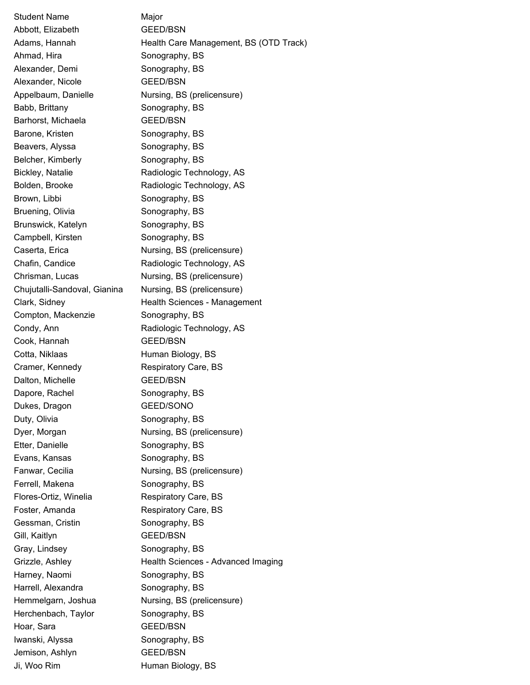Student Name Major Abbott, Elizabeth GEED/BSN Adams, Hannah **Health Care Management, BS (OTD Track)** Ahmad, Hira Sonography, BS Alexander, Demi Sonography, BS Alexander, Nicole **GEED/BSN** Appelbaum, Danielle **Nursing, BS (prelicensure)** Babb, Brittany Sonography, BS Barhorst, Michaela GEED/BSN Barone, Kristen Sonography, BS Beavers, Alyssa Sonography, BS Belcher, Kimberly **Sonography**, BS Bickley, Natalie Radiologic Technology, AS Bolden, Brooke Radiologic Technology, AS Brown, Libbi Sonography, BS Bruening, Olivia Sonography, BS Brunswick, Katelyn Sonography, BS Campbell, Kirsten Sonography, BS Caserta, Erica **Nursing, BS** (prelicensure) Chafin, Candice Radiologic Technology, AS Chrisman, Lucas Nursing, BS (prelicensure) Chujutalli-Sandoval, Gianina Nursing, BS (prelicensure) Clark, Sidney **Health Sciences - Management** Compton, Mackenzie **Sonography**, BS Condy, Ann **Radiologic Technology, AS** Cook, Hannah GEED/BSN Cotta, Niklaas Human Biology, BS Cramer, Kennedy Respiratory Care, BS Dalton, Michelle GEED/BSN Dapore, Rachel Sonography, BS Dukes, Dragon GEED/SONO Duty, Olivia Sonography, BS Dyer, Morgan Nursing, BS (prelicensure) Etter, Danielle Sonography, BS Evans, Kansas Sonography, BS Fanwar, Cecilia **Nursing, BS (prelicensure)** Ferrell, Makena Sonography, BS Flores-Ortiz, Winelia Respiratory Care, BS Foster, Amanda Respiratory Care, BS Gessman, Cristin Sonography, BS Gill, Kaitlyn GEED/BSN Gray, Lindsey Sonography, BS Grizzle, Ashley **Health Sciences - Advanced Imaging** Harney, Naomi Sonography, BS Harrell, Alexandra Sonography, BS Hemmelgarn, Joshua Nursing, BS (prelicensure) Herchenbach, Taylor Sonography, BS Hoar, Sara GEED/BSN Iwanski, Alyssa Sonography, BS Jemison, Ashlyn GEED/BSN Ji, Woo Rim **Human Biology**, BS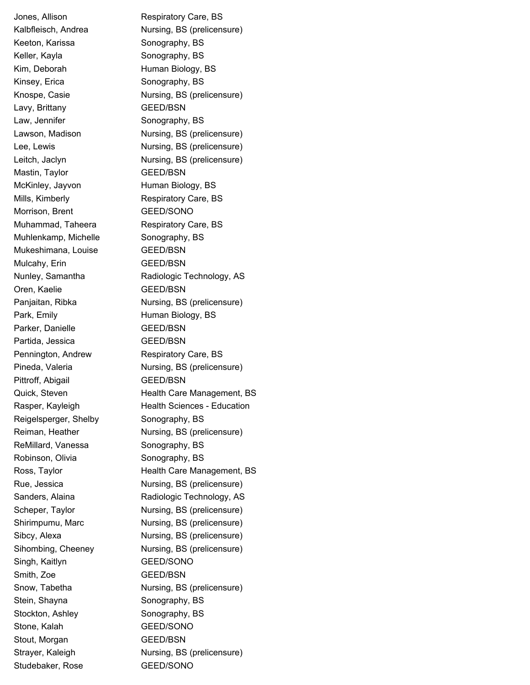Jones, Allison **Respiratory Care**, BS Keeton, Karissa Sonography, BS Keller, Kayla **Sonography**, BS Kim, Deborah **Human Biology, BS** Kinsey, Erica Sonography, BS Lavy, Brittany GEED/BSN Law, Jennifer Sonography, BS Mastin, Taylor GEED/BSN McKinley, Jayvon Human Biology, BS Mills, Kimberly **Respiratory Care, BS** Morrison, Brent GEED/SONO Muhammad, Taheera Respiratory Care, BS Muhlenkamp, Michelle **Sonography**, BS Mukeshimana, Louise GEED/BSN Mulcahy, Erin GEED/BSN Oren, Kaelie GEED/BSN Park, Emily **Example 2** Human Biology, BS Parker, Danielle GEED/BSN Partida, Jessica GEED/BSN Pennington, Andrew Respiratory Care, BS Pittroff, Abigail GEED/BSN Reigelsperger, Shelby Sonography, BS ReMillard, Vanessa Sonography, BS Robinson, Olivia Sonography, BS Singh, Kaitlyn GEED/SONO Smith, Zoe GEED/BSN Stein, Shayna Sonography, BS Stockton, Ashley Sonography, BS Stone, Kalah GEED/SONO Stout, Morgan GEED/BSN Studebaker, Rose GEED/SONO

Kalbfleisch, Andrea Nursing, BS (prelicensure) Knospe, Casie **Nursing, BS (prelicensure)** Lawson, Madison Nursing, BS (prelicensure) Lee, Lewis **Nursing, BS** (prelicensure) Leitch, Jaclyn **Nursing, BS** (prelicensure) Nunley, Samantha Radiologic Technology, AS Panjaitan, Ribka Nursing, BS (prelicensure) Pineda, Valeria Nursing, BS (prelicensure) Quick, Steven **Health Care Management, BS** Rasper, Kayleigh Health Sciences - Education Reiman, Heather **Nursing, BS (prelicensure)** Ross, Taylor **Health Care Management, BS** Rue, Jessica **Nursing, BS (prelicensure)** Sanders, Alaina **Radiologic Technology, AS** Scheper, Taylor Nursing, BS (prelicensure) Shirimpumu, Marc Nursing, BS (prelicensure) Sibcy, Alexa Nursing, BS (prelicensure) Sihombing, Cheeney Nursing, BS (prelicensure) Snow, Tabetha **Nursing, BS** (prelicensure) Strayer, Kaleigh Nursing, BS (prelicensure)